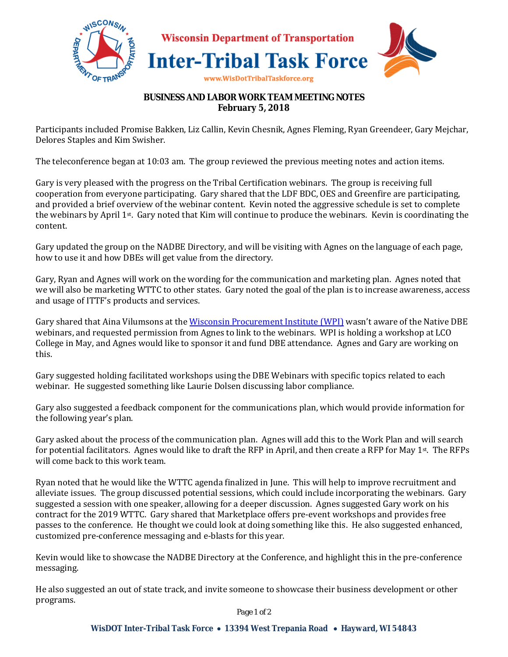

# **BUSINESS AND LABOR WORK TEAM MEETING NOTES February 5, 2018**

Participants included Promise Bakken, Liz Callin, Kevin Chesnik, Agnes Fleming, Ryan Greendeer, Gary Mejchar, Delores Staples and Kim Swisher.

The teleconference began at 10:03 am. The group reviewed the previous meeting notes and action items.

Gary is very pleased with the progress on the Tribal Certification webinars. The group is receiving full cooperation from everyone participating. Gary shared that the LDF BDC, OES and Greenfire are participating, and provided a brief overview of the webinar content. Kevin noted the aggressive schedule is set to complete the webinars by April 1st. Gary noted that Kim will continue to produce the webinars. Kevin is coordinating the content.

Gary updated the group on the NADBE Directory, and will be visiting with Agnes on the language of each page, how to use it and how DBEs will get value from the directory.

Gary, Ryan and Agnes will work on the wording for the communication and marketing plan. Agnes noted that we will also be marketing WTTC to other states. Gary noted the goal of the plan is to increase awareness, access and usage of ITTF's products and services.

Gary shared that Aina Vilumsons at the Wisconsin Procurement Institute (WPI) wasn't aware of the Native DBE webinars, and requested permission from Agnes to link to the webinars. WPI is holding a workshop at LCO College in May, and Agnes would like to sponsor it and fund DBE attendance. Agnes and Gary are working on this.

Gary suggested holding facilitated workshops using the DBE Webinars with specific topics related to each webinar. He suggested something like Laurie Dolsen discussing labor compliance.

Gary also suggested a feedback component for the communications plan, which would provide information for the following year's plan.

Gary asked about the process of the communication plan. Agnes will add this to the Work Plan and will search for potential facilitators. Agnes would like to draft the RFP in April, and then create a RFP for May 1st. The RFPs will come back to this work team.

Ryan noted that he would like the WTTC agenda finalized in June. This will help to improve recruitment and alleviate issues. The group discussed potential sessions, which could include incorporating the webinars. Gary suggested a session with one speaker, allowing for a deeper discussion. Agnes suggested Gary work on his contract for the 2019 WTTC. Gary shared that Marketplace offers pre-event workshops and provides free passes to the conference. He thought we could look at doing something like this. He also suggested enhanced, customized pre-conference messaging and e-blasts for this year.

Kevin would like to showcase the NADBE Directory at the Conference, and highlight this in the pre-conference messaging.

He also suggested an out of state track, and invite someone to showcase their business development or other programs.

*Page 1 of 2*